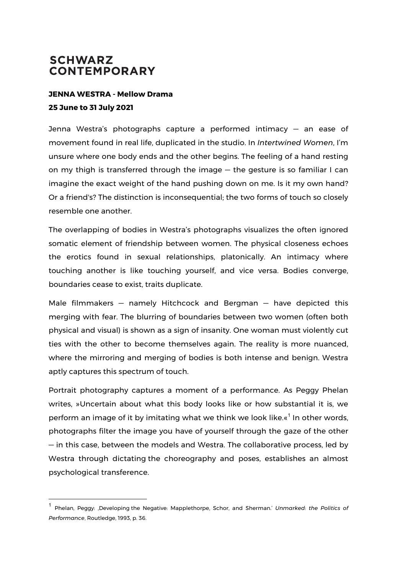## **SCHWARZ CONTEMPORARY**

 

## **JENNA WESTRA - Mellow Drama 25 June to 31 July 2021**

Jenna Westra's photographs capture a performed intimacy — an ease of movement found in real life, duplicated in the studio. In *Intertwined Women*, I'm unsure where one body ends and the other begins. The feeling of a hand resting on my thigh is transferred through the image — the gesture is so familiar I can imagine the exact weight of the hand pushing down on me. Is it my own hand? Or a friend's? The distinction is inconsequential; the two forms of touch so closely resemble one another.

The overlapping of bodies in Westra's photographs visualizes the often ignored somatic element of friendship between women. The physical closeness echoes the erotics found in sexual relationships, platonically. An intimacy where touching another is like touching yourself, and vice versa. Bodies converge, boundaries cease to exist, traits duplicate.

Male filmmakers — namely Hitchcock and Bergman — have depicted this merging with fear. The blurring of boundaries between two women (often both physical and visual) is shown as a sign of insanity. One woman must violently cut ties with the other to become themselves again. The reality is more nuanced, where the mirroring and merging of bodies is both intense and benign. Westra aptly captures this spectrum of touch.

Portrait photography captures a moment of a performance. As Peggy Phelan writes, »Uncertain about what this body looks like or how substantial it is, we perform an image of it by imitating what we think we look like. $\kappa^1$  In other words, photographs filter the image you have of yourself through the gaze of the other — in this case, between the models and Westra. The collaborative process, led by Westra through dictating the choreography and poses, establishes an almost psychological transference.

<sup>1</sup> Phelan, Peggy: 'Developing the Negative: Mapplethorpe, Schor, and Sherman.' *Unmarked: the Politics of Performance*, Routledge, 1993, p. 36.